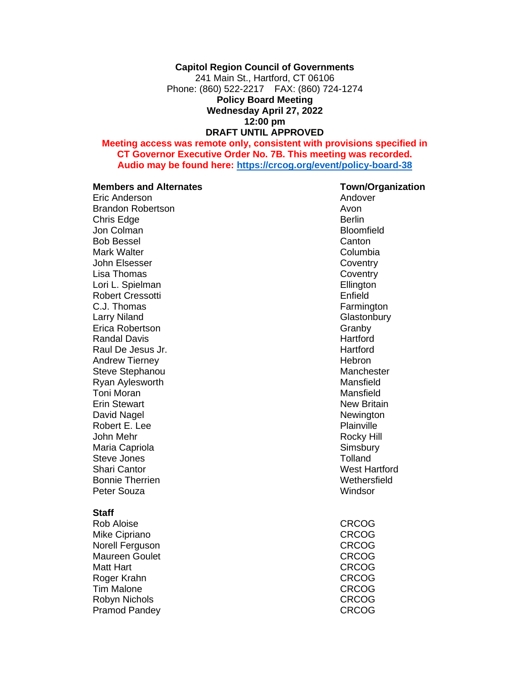#### **Capitol Region Council of Governments**

241 Main St., Hartford, CT 06106 Phone: (860) 522-2217 FAX: (860) 724-1274 **Policy Board Meeting Wednesday April 27, 2022 12:00 pm DRAFT UNTIL APPROVED**

#### **Meeting access was remote only, consistent with provisions specified in CT Governor Executive Order No. 7B. This meeting was recorded. Audio may be found here:<https://crcog.org/event/policy-board-38>**

#### **Members and Alternates Town/Organization**

Eric Anderson Andover Brandon Robertson **Avon** Avon Chris Edge Berlin Jon Colman Bloomfield Bob Bessel **Canton** Mark Walter **Columbia Columbia** John Elsesser Coventry Lisa Thomas **Coventry** Lori L. Spielman **Ellington** Robert Cressotti **Enfield** C.J. Thomas **Farmington** Larry Niland Glastonbury Erica Robertson Granby Communication Communication Communication Communication Communication Communication Communication Communication Communication Communication Communication Communication Communication Communication Com Randal Davis **Hartford** Raul De Jesus Jr. New York 1980 and the Hartford Andrew Tierney **Andrew Tierney Hebron** Steve Stephanou and the Manchester Ryan Aylesworth **Mansfield** Mansfield **Toni Moran** Mansfield Erin Stewart New Britain David Nagel Newington Newington Robert E. Lee Plainville John Mehr Rocky Hill Maria Capriola Steve Jones **Steve Tolland** Shari Cantor West Hartford Bonnie Therrien Wethersfield Peter Souza **Windsor** 

#### **Staff**

Rob Aloise **CRCOG** Mike Cipriano **CRCOG** Norell Ferguson CRCOG Maureen Goulet **CRCOG** Matt Hart **CRCOG** Roger Krahn CRCOG Tim Malone **CRCOG** Robyn Nichols **CRCOG** Pramod Pandey **CRCOG**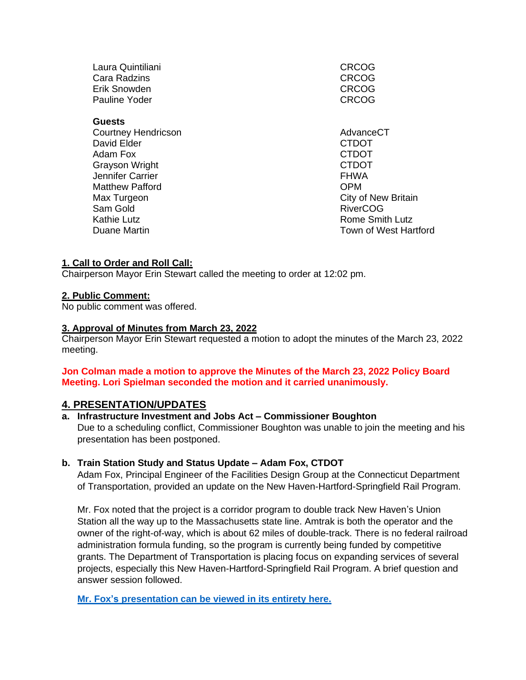Laura Quintiliani CRCOG Cara Radzins Cara CRCOG Cara Radzins CRCOG CRCOG CRCOG CRCOG Erik Snowden Pauline Yoder **CRCOG** 

## **Guests**

Courtney Hendricson **AdvanceCT AdvanceCT** David Elder CTDOT Adam Fox CTDOT Grayson Wright **CTDOT** Jennifer Carrier **FHWA** Matthew Pafford **COPM** Max Turgeon City of New Britain Sam Gold **RiverCOG** Kathie Lutz **Kathie Lutz Rome Smith Lutz Rome Smith Lutz** 

Duane Martin Town of West Hartford

# **1. Call to Order and Roll Call:**

Chairperson Mayor Erin Stewart called the meeting to order at 12:02 pm.

## **2. Public Comment:**

No public comment was offered.

## **3. Approval of Minutes from March 23, 2022**

Chairperson Mayor Erin Stewart requested a motion to adopt the minutes of the March 23, 2022 meeting.

# **Jon Colman made a motion to approve the Minutes of the March 23, 2022 Policy Board Meeting. Lori Spielman seconded the motion and it carried unanimously.**

# **4. PRESENTATION/UPDATES**

# **a. Infrastructure Investment and Jobs Act – Commissioner Boughton**

Due to a scheduling conflict, Commissioner Boughton was unable to join the meeting and his presentation has been postponed.

# **b. Train Station Study and Status Update – Adam Fox, CTDOT**

Adam Fox, Principal Engineer of the Facilities Design Group at the Connecticut Department of Transportation, provided an update on the New Haven-Hartford-Springfield Rail Program.

Mr. Fox noted that the project is a corridor program to double track New Haven's Union Station all the way up to the Massachusetts state line. Amtrak is both the operator and the owner of the right-of-way, which is about 62 miles of double-track. There is no federal railroad administration formula funding, so the program is currently being funded by competitive grants. The Department of Transportation is placing focus on expanding services of several projects, especially this New Haven-Hartford-Springfield Rail Program. A brief question and answer session followed.

**Mr. Fox's [presentation can be viewed in its entirety here.](https://crcog.org/wp-content/uploads/2021/12/CTDOT-Presentation-of-NHHS-Project-to-CRCOG_4.27.22.pdf)**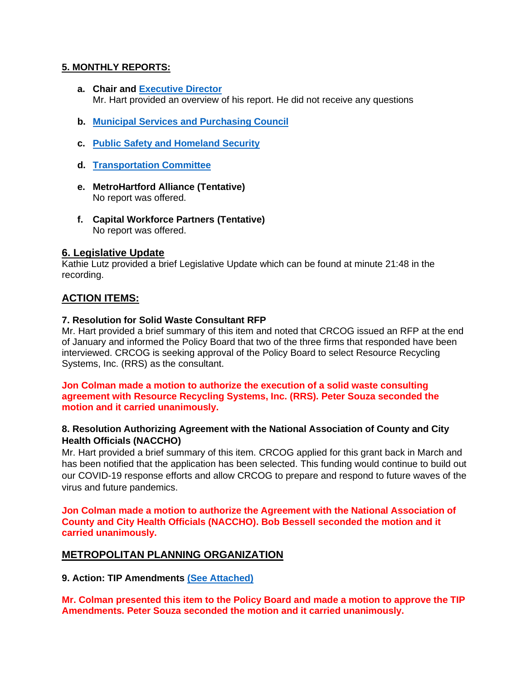# **5. MONTHLY REPORTS:**

- **a. Chair and [Executive Director](https://crcog.org/wp-content/uploads/2021/12/CRCOG-Monthly-Report-March-2022-FINAL.pdf)** Mr. Hart provided an overview of his report. He did not receive any questions
- **b. [Municipal Services and Purchasing Council](https://crcog.org/wp-content/uploads/2021/12/Dept-Update-Municipal-Services-Cmte-04.27.22.pdf)**
- **c. [Public Safety and Homeland Security](https://crcog.org/wp-content/uploads/2021/12/Dept-Update-Public-Safety-04.27.22.pdf)**
- **d. [Transportation Committee](https://crcog.org/wp-content/uploads/2021/12/Dept-Update-Transportation-Cmte-04.27.22.pdf)**
- **e. MetroHartford Alliance (Tentative)** No report was offered.
- **f. Capital Workforce Partners (Tentative)** No report was offered.

## **6. Legislative Update**

Kathie Lutz provided a brief Legislative Update which can be found at minute 21:48 in the recording.

# **ACTION ITEMS:**

#### **7. [Resolution](https://crcog.org/wp-content/uploads/2021/12/Solid-Waste-Summary-and-Resolution.pdf) [for Solid Waste Consultant RFP](https://crcog.org/wp-content/uploads/2021/12/Solid-Waste-Summary-and-Resolution.pdf)**

Mr. Hart provided a brief summary of this item and noted that CRCOG issued an RFP at the end of January and informed the Policy Board that two of the three firms that responded have been interviewed. CRCOG is seeking approval of the Policy Board to select Resource Recycling Systems, Inc. (RRS) as the consultant.

#### **Jon Colman made a motion to authorize the execution of a solid waste consulting agreement with Resource Recycling Systems, Inc. (RRS). Peter Souza seconded the motion and it carried unanimously.**

## **8. Resolution [Authorizing Agreement with the National Association of County and City](https://crcog.org/wp-content/uploads/2021/12/FY-22-NACCHO-RISE-Award-Authorizing-Summary-and-Resolution.pdf)  [Health Officials \(NACCHO\)](https://crcog.org/wp-content/uploads/2021/12/FY-22-NACCHO-RISE-Award-Authorizing-Summary-and-Resolution.pdf)**

Mr. Hart provided a brief summary of this item. CRCOG applied for this grant back in March and has been notified that the application has been selected. This funding would continue to build out our COVID-19 response efforts and allow CRCOG to prepare and respond to future waves of the virus and future pandemics.

**Jon Colman made a motion to authorize the Agreement with the National Association of County and City Health Officials (NACCHO). Bob Bessell seconded the motion and it carried unanimously.** 

# **METROPOLITAN PLANNING ORGANIZATION**

**9. Action: TIP Amendments [\(See Attached\)](https://crcog.org/wp-content/uploads/2022/04/2022-04-TIP-Amendments-with-Cover-Sheet_Update.pdf)**

**Mr. Colman presented this item to the Policy Board and made a motion to approve the TIP Amendments. Peter Souza seconded the motion and it carried unanimously.**